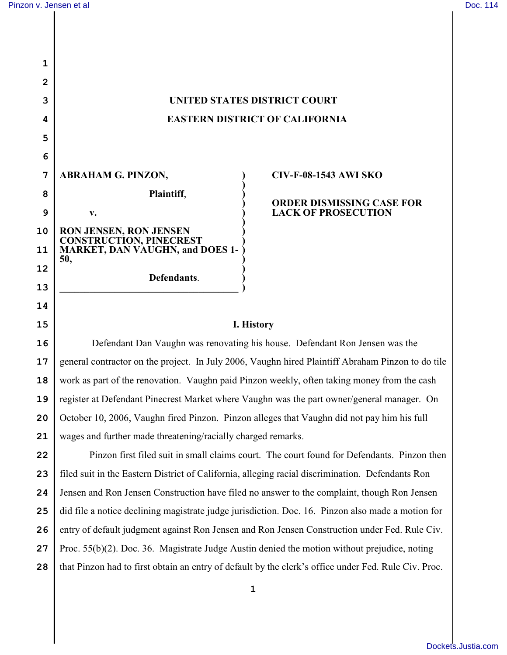| 1  |                                                                                                      |                                  |  |
|----|------------------------------------------------------------------------------------------------------|----------------------------------|--|
| 2  |                                                                                                      |                                  |  |
| 3  | <b>UNITED STATES DISTRICT COURT</b>                                                                  |                                  |  |
| 4  | <b>EASTERN DISTRICT OF CALIFORNIA</b>                                                                |                                  |  |
| 5  |                                                                                                      |                                  |  |
| 6  |                                                                                                      |                                  |  |
| 7  | <b>ABRAHAM G. PINZON,</b>                                                                            | <b>CIV-F-08-1543 AWI SKO</b>     |  |
| 8  | Plaintiff,                                                                                           | <b>ORDER DISMISSING CASE FOR</b> |  |
| 9  | v.                                                                                                   | <b>LACK OF PROSECUTION</b>       |  |
| 10 | RON JENSEN, RON JENSEN<br><b>CONSTRUCTION, PINECREST</b>                                             |                                  |  |
| 11 | <b>MARKET, DAN VAUGHN, and DOES 1-</b><br>50,                                                        |                                  |  |
| 12 | Defendants.                                                                                          |                                  |  |
| 13 |                                                                                                      |                                  |  |
| 14 |                                                                                                      |                                  |  |
| 15 | I. History                                                                                           |                                  |  |
| 16 | Defendant Dan Vaughn was renovating his house. Defendant Ron Jensen was the                          |                                  |  |
| 17 | general contractor on the project. In July 2006, Vaughn hired Plaintiff Abraham Pinzon to do tile    |                                  |  |
| 18 | work as part of the renovation. Vaughn paid Pinzon weekly, often taking money from the cash          |                                  |  |
| 19 | register at Defendant Pinecrest Market where Vaughn was the part owner/general manager. On           |                                  |  |
| 20 | October 10, 2006, Vaughn fired Pinzon. Pinzon alleges that Vaughn did not pay him his full           |                                  |  |
| 21 | wages and further made threatening/racially charged remarks.                                         |                                  |  |
| 22 | Pinzon first filed suit in small claims court. The court found for Defendants. Pinzon then           |                                  |  |
| 23 | filed suit in the Eastern District of California, alleging racial discrimination. Defendants Ron     |                                  |  |
| 24 | Jensen and Ron Jensen Construction have filed no answer to the complaint, though Ron Jensen          |                                  |  |
| 25 | did file a notice declining magistrate judge jurisdiction. Doc. 16. Pinzon also made a motion for    |                                  |  |
| 26 | entry of default judgment against Ron Jensen and Ron Jensen Construction under Fed. Rule Civ.        |                                  |  |
| 27 | Proc. $55(b)(2)$ . Doc. 36. Magistrate Judge Austin denied the motion without prejudice, noting      |                                  |  |
| 28 | that Pinzon had to first obtain an entry of default by the clerk's office under Fed. Rule Civ. Proc. |                                  |  |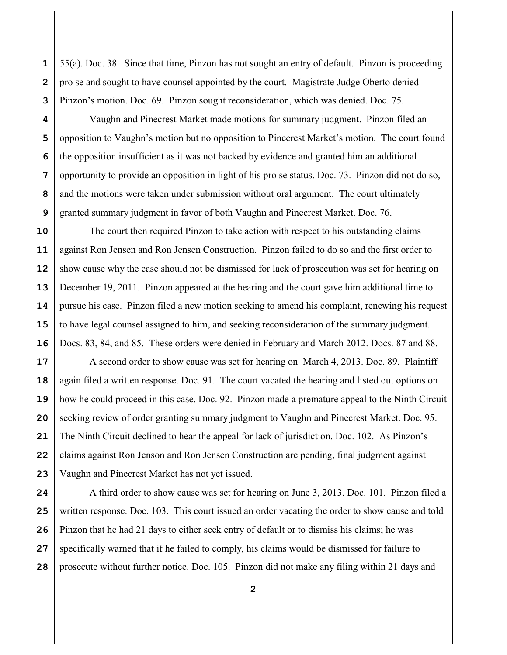**1 2 3** 55(a). Doc. 38. Since that time, Pinzon has not sought an entry of default. Pinzon is proceeding pro se and sought to have counsel appointed by the court. Magistrate Judge Oberto denied Pinzon's motion. Doc. 69. Pinzon sought reconsideration, which was denied. Doc. 75.

**4 5 6 7 8 9** Vaughn and Pinecrest Market made motions for summary judgment. Pinzon filed an opposition to Vaughn's motion but no opposition to Pinecrest Market's motion. The court found the opposition insufficient as it was not backed by evidence and granted him an additional opportunity to provide an opposition in light of his pro se status. Doc. 73. Pinzon did not do so, and the motions were taken under submission without oral argument. The court ultimately granted summary judgment in favor of both Vaughn and Pinecrest Market. Doc. 76.

**10 11 12 13 14 15 16** The court then required Pinzon to take action with respect to his outstanding claims against Ron Jensen and Ron Jensen Construction. Pinzon failed to do so and the first order to show cause why the case should not be dismissed for lack of prosecution was set for hearing on December 19, 2011. Pinzon appeared at the hearing and the court gave him additional time to pursue his case. Pinzon filed a new motion seeking to amend his complaint, renewing his request to have legal counsel assigned to him, and seeking reconsideration of the summary judgment. Docs. 83, 84, and 85. These orders were denied in February and March 2012. Docs. 87 and 88.

**17 18 19 20 21 22 23** A second order to show cause was set for hearing on March 4, 2013. Doc. 89. Plaintiff again filed a written response. Doc. 91. The court vacated the hearing and listed out options on how he could proceed in this case. Doc. 92. Pinzon made a premature appeal to the Ninth Circuit seeking review of order granting summary judgment to Vaughn and Pinecrest Market. Doc. 95. The Ninth Circuit declined to hear the appeal for lack of jurisdiction. Doc. 102. As Pinzon's claims against Ron Jenson and Ron Jensen Construction are pending, final judgment against Vaughn and Pinecrest Market has not yet issued.

**24 25 26 27 28** A third order to show cause was set for hearing on June 3, 2013. Doc. 101. Pinzon filed a written response. Doc. 103. This court issued an order vacating the order to show cause and told Pinzon that he had 21 days to either seek entry of default or to dismiss his claims; he was specifically warned that if he failed to comply, his claims would be dismissed for failure to prosecute without further notice. Doc. 105. Pinzon did not make any filing within 21 days and

**2**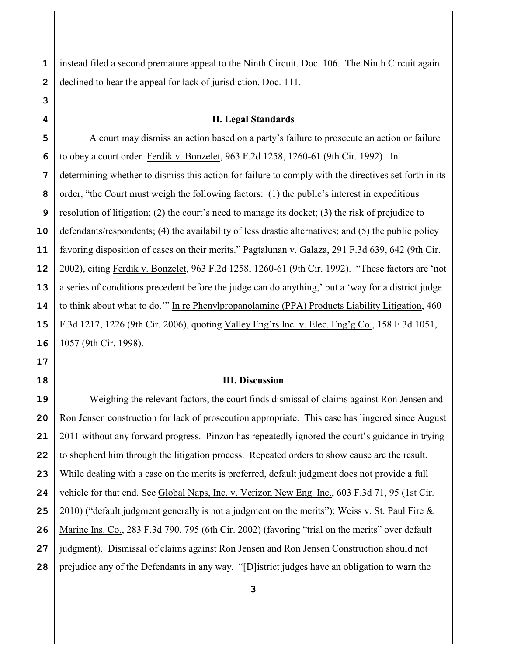**1 2** instead filed a second premature appeal to the Ninth Circuit. Doc. 106. The Ninth Circuit again declined to hear the appeal for lack of jurisdiction. Doc. 111.

## **II. Legal Standards**

**5 6 7 8 9 10 11 12 13 14 15 16** A court may dismiss an action based on a party's failure to prosecute an action or failure to obey a court order. Ferdik v. Bonzelet, 963 F.2d 1258, 1260-61 (9th Cir. 1992). In determining whether to dismiss this action for failure to comply with the directives set forth in its order, "the Court must weigh the following factors: (1) the public's interest in expeditious resolution of litigation; (2) the court's need to manage its docket; (3) the risk of prejudice to defendants/respondents; (4) the availability of less drastic alternatives; and (5) the public policy favoring disposition of cases on their merits." Pagtalunan v. Galaza, 291 F.3d 639, 642 (9th Cir. 2002), citing Ferdik v. Bonzelet, 963 F.2d 1258, 1260-61 (9th Cir. 1992). "These factors are 'not a series of conditions precedent before the judge can do anything,' but a 'way for a district judge to think about what to do.'" In re Phenylpropanolamine (PPA) Products Liability Litigation, 460 F.3d 1217, 1226 (9th Cir. 2006), quoting Valley Eng'rs Inc. v. Elec. Eng'g Co., 158 F.3d 1051, 1057 (9th Cir. 1998).

**17**

**3**

**4**

**18**

## **III. Discussion**

**19 20 21 22 23 24 25 26 27 28** Weighing the relevant factors, the court finds dismissal of claims against Ron Jensen and Ron Jensen construction for lack of prosecution appropriate. This case has lingered since August 2011 without any forward progress. Pinzon has repeatedly ignored the court's guidance in trying to shepherd him through the litigation process. Repeated orders to show cause are the result. While dealing with a case on the merits is preferred, default judgment does not provide a full vehicle for that end. See Global Naps, Inc. v. Verizon New Eng. Inc., 603 F.3d 71, 95 (1st Cir. 2010) ("default judgment generally is not a judgment on the merits"); Weiss v. St. Paul Fire  $\&$ Marine Ins. Co., 283 F.3d 790, 795 (6th Cir. 2002) (favoring "trial on the merits" over default judgment). Dismissal of claims against Ron Jensen and Ron Jensen Construction should not prejudice any of the Defendants in any way. "[D]istrict judges have an obligation to warn the